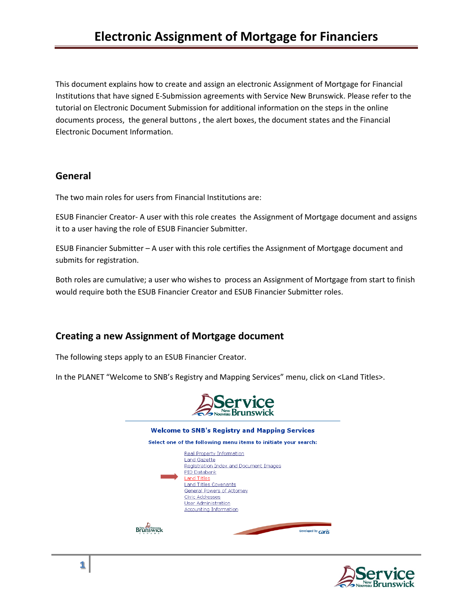This document explains how to create and assign an electronic Assignment of Mortgage for Financial Institutions that have signed E-Submission agreements with Service New Brunswick. Please refer to the tutorial on Electronic Document Submission for additional information on the steps in the online documents process, the general buttons , the alert boxes, the document states and the Financial Electronic Document Information.

### **General**

The two main roles for users from Financial Institutions are:

ESUB Financier Creator- A user with this role creates the Assignment of Mortgage document and assigns it to a user having the role of ESUB Financier Submitter.

ESUB Financier Submitter – A user with this role certifies the Assignment of Mortgage document and submits for registration.

Both roles are cumulative; a user who wishes to process an Assignment of Mortgage from start to finish would require both the ESUB Financier Creator and ESUB Financier Submitter roles.

## **Creating a new Assignment of Mortgage document**

The following steps apply to an ESUB Financier Creator.

In the PLANET "Welcome to SNB's Registry and Mapping Services" menu, click on <Land Titles>.



| <b>Welcome to SNB's Registry and Mapping Services</b> |                                                                                                                                                                                                                                                      |  |  |  |
|-------------------------------------------------------|------------------------------------------------------------------------------------------------------------------------------------------------------------------------------------------------------------------------------------------------------|--|--|--|
|                                                       | Select one of the following menu items to initiate your search:                                                                                                                                                                                      |  |  |  |
|                                                       | Real Property Information<br>Land Gazette<br>Registration Index and Document Images<br>PID Databank<br>Land Titles<br>Land Titles Covenants<br>General Powers of Attorney<br><b>Civic Addresses</b><br>User Administration<br>Accounting Information |  |  |  |
|                                                       | Developed by Ca                                                                                                                                                                                                                                      |  |  |  |

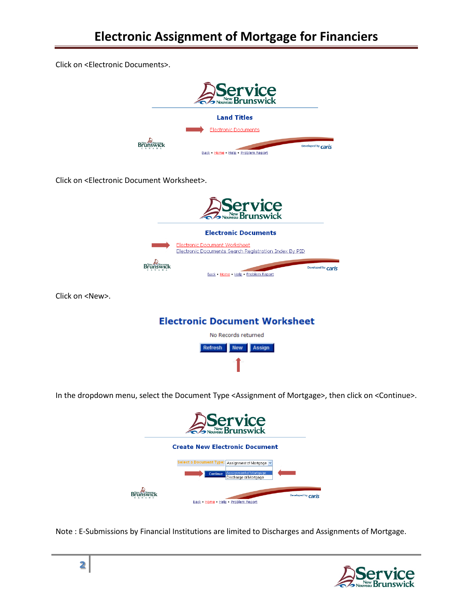Click on <Electronic Documents>.



Click on <Electronic Document Worksheet>.



Click on <New>.



In the dropdown menu, select the Document Type <Assignment of Mortgage>, then click on <Continue>.



Note : E-Submissions by Financial Institutions are limited to Discharges and Assignments of Mortgage.

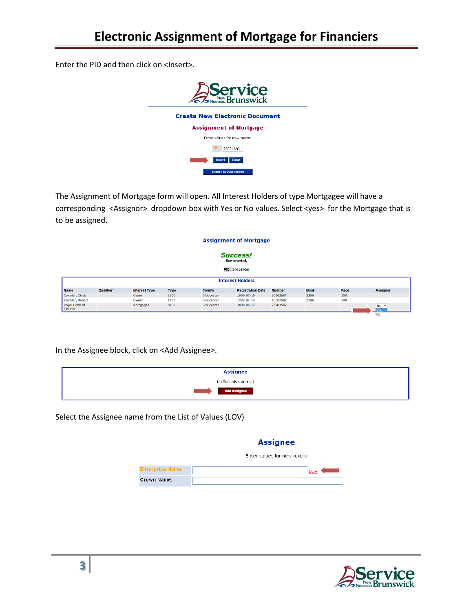Enter the PID and then click on <Insert>.



The Assignment of Mortgage form will open. All Interest Holders of type Mortgagee will have a corresponding <Assignor> dropdown box with Yes or No values. Select <yes> for the Mortgage that is to be assigned.

|                         |           |                      |             |            | <b>Assignment of Mortgage</b>                            |               |             |      |                 |
|-------------------------|-----------|----------------------|-------------|------------|----------------------------------------------------------|---------------|-------------|------|-----------------|
|                         |           |                      |             |            | <b>Success!</b><br><b>Row inserted.</b><br>PID: 20621926 |               |             |      |                 |
|                         |           |                      |             |            | <b>Interest Holders</b>                                  |               |             |      |                 |
| <b>Name</b>             | Qualifier | <b>Interest Type</b> | <b>Type</b> | County     | <b>Registration Date</b>                                 | <b>Number</b> | <b>Book</b> | Page | <b>Assignor</b> |
| Cormier, Cindy          |           | Owner                | 1100        | Gloucester | 1999-07-19                                               | 10362607      | 2206        | 300  |                 |
| Cormier, Robert         |           | Owner                | 1100        | Gloucester | 1999-07-19                                               | 10362607      | 2206        | 300  |                 |
| Royal Bank of<br>Canada |           | Mortgagee            | 5100        | Gloucester | 2008-06-17                                               | 25701567      |             |      | $No -+$<br>res. |
|                         |           |                      |             |            |                                                          |               |             |      | No              |

In the Assignee block, click on <Add Assignee>.

| <b>Assignee</b>     |
|---------------------|
| No Records returned |
| <b>Add Assignee</b> |

Select the Assignee name from the List of Values (LOV)

#### **Assignee**

|                         | Enter values for new record |
|-------------------------|-----------------------------|
| <b>Enterprise Name:</b> | LOV                         |
| Crown Name:             |                             |

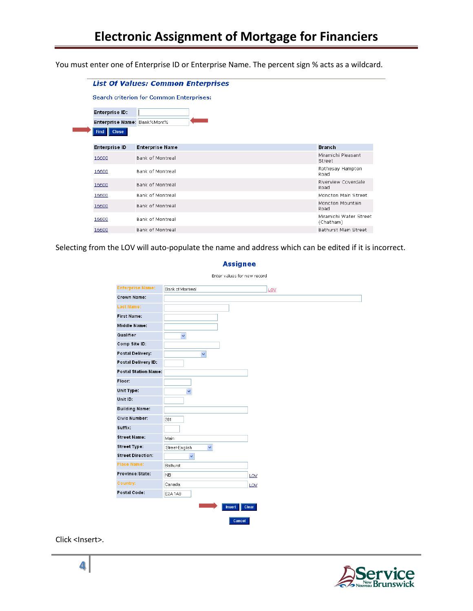You must enter one of Enterprise ID or Enterprise Name. The percent sign % acts as a wildcard.

|                             | <b>List Of Values: Common Enterprises</b>       |                                     |
|-----------------------------|-------------------------------------------------|-------------------------------------|
|                             | <b>Search criterion for Common Enterprises:</b> |                                     |
| <b>Enterprise ID:</b>       |                                                 |                                     |
| Enterprise Name: Bank%Mont% |                                                 |                                     |
| <b>Close</b><br><b>Find</b> |                                                 |                                     |
| <b>Enterprise ID</b>        | <b>Enterprise Name</b>                          | <b>Branch</b>                       |
| 16600                       | <b>Bank of Montreal</b>                         | Miramichi Pleasant<br>Street        |
| 16600                       | Bank of Montreal                                | Rothesay Hampton<br>Road            |
| 16600                       | Bank of Montreal                                | Riverview Coverdale<br>Road         |
| 16600                       | <b>Bank of Montreal</b>                         | Moncton Main Street                 |
| 16600                       | Bank of Montreal                                | Moncton Mountain<br>Road            |
| 16600                       | <b>Bank of Montreal</b>                         | Miramichi Water Street<br>(Chatham) |
|                             |                                                 |                                     |

Selecting from the LOV will auto-populate the name and address which can be edited if it is incorrect.

| <b>Enterprise Name:</b>     | Bank of Montreal               |     |
|-----------------------------|--------------------------------|-----|
| <b>Crown Name:</b>          |                                |     |
| <b>Last Name:</b>           |                                |     |
| <b>First Name:</b>          |                                |     |
| Middle Name:                |                                |     |
| Qualifier                   | $\checkmark$                   |     |
| Comp Site ID:               |                                |     |
| <b>Postal Delivery:</b>     | $\ddot{\mathbf{v}}$            |     |
| Postal Delivery ID:         |                                |     |
| <b>Postal Station Name:</b> |                                |     |
| Floor:                      |                                |     |
| Unit Type:                  | $\ddot{\mathbf{v}}$            |     |
| Unit ID:                    |                                |     |
| <b>Building Name:</b>       |                                |     |
| <b>Civic Number:</b>        | 201                            |     |
| Suffix:                     |                                |     |
| <b>Street Name:</b>         | Main                           |     |
| <b>Street Type:</b>         | $\checkmark$<br>Street-English |     |
| <b>Street Direction:</b>    | v                              |     |
| <b>Place Name:</b>          | Bathurst                       |     |
| Province/State:             | <b>NB</b>                      | LOV |
| <b>Country:</b>             | Canada                         | LOV |
| Postal Code:                | E2A1A9                         |     |

#### **Assignee**

Click <Insert>.

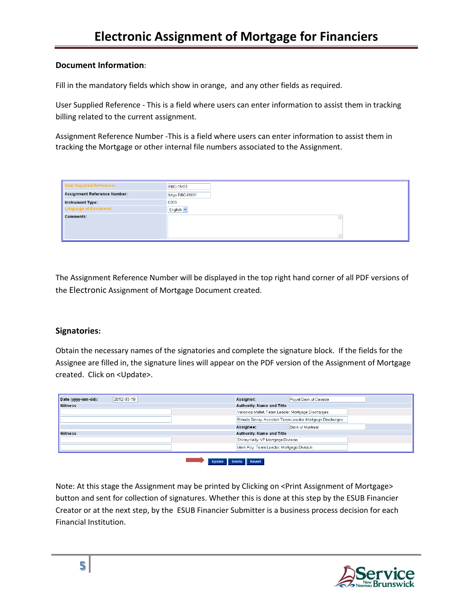### **Document Information**:

Fill in the mandatory fields which show in orange, and any other fields as required.

User Supplied Reference - This is a field where users can enter information to assist them in tracking billing related to the current assignment.

Assignment Reference Number -This is a field where users can enter information to assist them in tracking the Mortgage or other internal file numbers associated to the Assignment.

| <b>User Supplied Reference:</b> | RBC-15425            |
|---------------------------------|----------------------|
| Assignment Reference Number:    | Mtge RBC-09891       |
| Instrument Type:                | 6205                 |
| Language of Document:           | English <sup>v</sup> |
| <b>Comments:</b>                |                      |

The Assignment Reference Number will be displayed in the top right hand corner of all PDF versions of the Electronic Assignment of Mortgage Document created.

### **Signatories:**

Obtain the necessary names of the signatories and complete the signature block. If the fields for the Assignee are filled in, the signature lines will appear on the PDF version of the Assignment of Mortgage created. Click on <Update>.

| Date (yyyy-mm-dd): | 2012-03-19 | Assignor: |                                                   | Royal Bank of Canada                                     |
|--------------------|------------|-----------|---------------------------------------------------|----------------------------------------------------------|
| <b>Witness</b>     |            |           | Authority: Name and Title                         |                                                          |
|                    |            |           | Veronica Mallet, Team Leader, Mortgage Discharges |                                                          |
|                    |            |           |                                                   | Brenda Savoy, Assistant Team Leader, Mortgage Discharges |
|                    |            | Assignee: |                                                   | Bank of Montreal                                         |
| <b>Witness</b>     |            |           | <b>Authority: Name and Title</b>                  |                                                          |
|                    |            |           | Shirley Kelly, VP Mortgage Division               |                                                          |
|                    |            |           | Mark Roy, Team Leader, Mortgage Division          |                                                          |

Note: At this stage the Assignment may be printed by Clicking on <Print Assignment of Mortgage> button and sent for collection of signatures. Whether this is done at this step by the ESUB Financier Creator or at the next step, by the ESUB Financier Submitter is a business process decision for each Financial Institution.

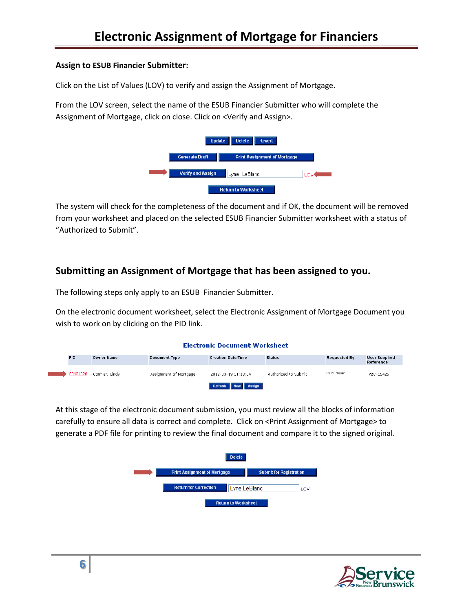### **Assign to ESUB Financier Submitter:**

Click on the List of Values (LOV) to verify and assign the Assignment of Mortgage.

From the LOV screen, select the name of the ESUB Financier Submitter who will complete the Assignment of Mortgage, click on close. Click on <Verify and Assign>.



The system will check for the completeness of the document and if OK, the document will be removed from your worksheet and placed on the selected ESUB Financier Submitter worksheet with a status of "Authorized to Submit".

# **Submitting an Assignment of Mortgage that has been assigned to you.**

The following steps only apply to an ESUB Financier Submitter.

On the electronic document worksheet, select the Electronic Assignment of Mortgage Document you wish to work on by clicking on the PID link.

|            |                   |                        | <b>Electronic Document Worksheet</b> |                      |                     |                                   |
|------------|-------------------|------------------------|--------------------------------------|----------------------|---------------------|-----------------------------------|
| <b>PID</b> | <b>Owner Name</b> | <b>Document Type</b>   | <b>Creation Date/Time</b>            | <b>Status</b>        | <b>Requested By</b> | <b>User Supplied</b><br>Reference |
| 20621926   | Cormier, Cindy    | Assignment of Mortgage | 2012-03-19 11:13:04                  | Authorized to Submit | Carol Palmer        | RBC-15425                         |
|            |                   |                        | New Assign<br>Refresh                |                      |                     |                                   |

At this stage of the electronic document submission, you must review all the blocks of information carefully to ensure all data is correct and complete. Click on <Print Assignment of Mortgage> to generate a PDF file for printing to review the final document and compare it to the signed original.



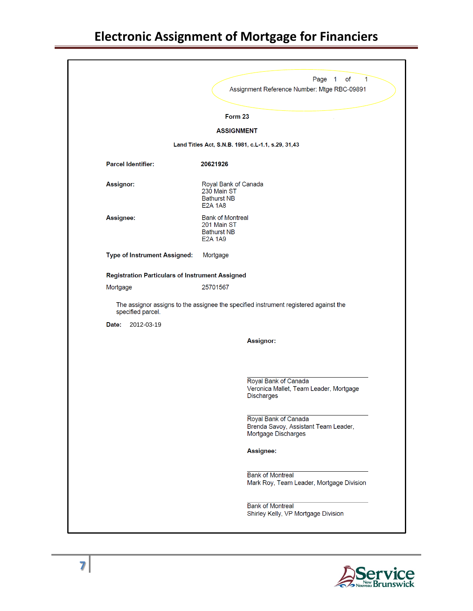# **Electronic Assignment of Mortgage for Financiers**

|                                                        |                                                                                | Page 1<br>of<br>1                                                                    |
|--------------------------------------------------------|--------------------------------------------------------------------------------|--------------------------------------------------------------------------------------|
|                                                        |                                                                                | Assignment Reference Number: Mtge RBC-09891                                          |
|                                                        | Form 23                                                                        |                                                                                      |
|                                                        | <b>ASSIGNMENT</b>                                                              |                                                                                      |
|                                                        |                                                                                | Land Titles Act, S.N.B. 1981, c.L-1.1, s.29, 31,43                                   |
| <b>Parcel Identifier:</b>                              | 20621926                                                                       |                                                                                      |
| Assignor:                                              | Royal Bank of Canada<br>230 Main ST<br><b>Bathurst NB</b><br><b>E2A 1A8</b>    |                                                                                      |
| Assignee:                                              | <b>Bank of Montreal</b><br>201 Main ST<br><b>Bathurst NB</b><br><b>E2A 1A9</b> |                                                                                      |
| Type of Instrument Assigned:                           | Mortgage                                                                       |                                                                                      |
| <b>Registration Particulars of Instrument Assigned</b> |                                                                                |                                                                                      |
| Mortgage                                               | 25701567                                                                       |                                                                                      |
| specified parcel.                                      |                                                                                | The assignor assigns to the assignee the specified instrument registered against the |
| Date:<br>2012-03-19                                    |                                                                                |                                                                                      |
|                                                        |                                                                                | Assignor:                                                                            |
|                                                        |                                                                                |                                                                                      |
|                                                        |                                                                                | Royal Bank of Canada<br>Veronica Mallet, Team Leader, Mortgage<br><b>Discharges</b>  |
|                                                        |                                                                                | Royal Bank of Canada<br>Brenda Savoy, Assistant Team Leader,<br>Mortgage Discharges  |
|                                                        |                                                                                | Assignee:                                                                            |
|                                                        |                                                                                | <b>Bank of Montreal</b><br>Mark Roy, Team Leader, Mortgage Division                  |

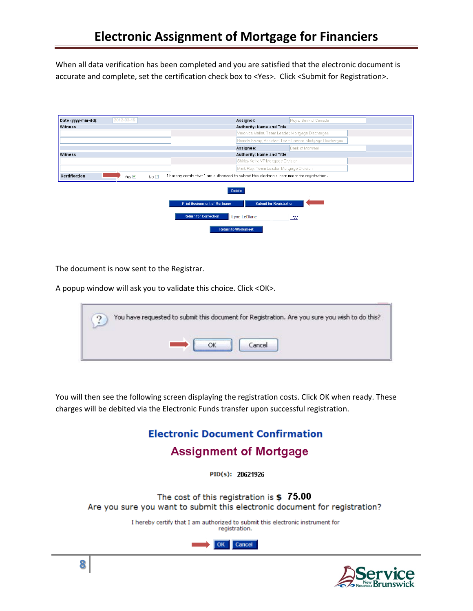When all data verification has been completed and you are satisfied that the electronic document is accurate and complete, set the certification check box to <Yes>. Click <Submit for Registration>.

| 2012-03-19<br>Date (yyyy-mm-dd):                             | Royal Bank of Canada<br>Assignor:                                                                                                                                           |
|--------------------------------------------------------------|-----------------------------------------------------------------------------------------------------------------------------------------------------------------------------|
| <b>Witness</b>                                               | Authority: Name and Title                                                                                                                                                   |
|                                                              | Veronica Mallet, Team Leader, Mortgage Discharges                                                                                                                           |
|                                                              | Brenda Savoy, Assistant Team Leader, Mortgage Discharges                                                                                                                    |
|                                                              | Bank of Montreal<br>Assignee:                                                                                                                                               |
| <b>Witness</b>                                               | Authority: Name and Title                                                                                                                                                   |
|                                                              | Shirley Kelly, VP Mortgage Division                                                                                                                                         |
|                                                              | Mark Roy, Team Leader, Mortgage Division                                                                                                                                    |
| Certification<br>No <sub>1</sub><br>Yes $\boxed{\mathbb{Z}}$ | I hereby certify that I am authorized to submit this electronic instrument for registration.                                                                                |
|                                                              | <b>Delete</b><br><b>Submit for Registration</b><br><b>Print Assignment of Mortgage</b><br><b>Return for Correction</b><br>Lyne LeBlanc<br>LOV<br><b>Return to Worksheet</b> |

The document is now sent to the Registrar.

A popup window will ask you to validate this choice. Click <OK>.

| $\Omega$ | You have requested to submit this document for Registration. Are you sure you wish to do this? |
|----------|------------------------------------------------------------------------------------------------|
|          | ance                                                                                           |

You will then see the following screen displaying the registration costs. Click OK when ready. These charges will be debited via the Electronic Funds transfer upon successful registration.

# **Electronic Document Confirmation**

# **Assignment of Mortgage**

 $PID(s): 20621926$ 

The cost of this registration is  $$75.00$ Are you sure you want to submit this electronic document for registration?

> I hereby certify that I am authorized to submit this electronic instrument for registration.



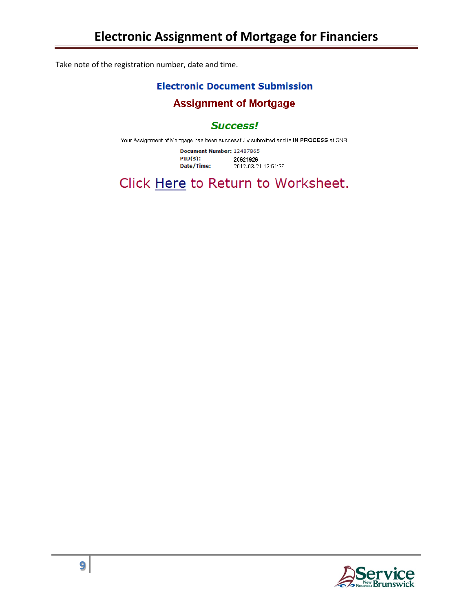Take note of the registration number, date and time.

### **Electronic Document Submission**

## **Assignment of Mortgage**

## **Success!**

Your Assignment of Mortgage has been successfully submitted and is IN PROCESS at SNB.

Document Number: 12487865  $PID(s):$ 20621926 Date/Time: 2012-03-21 12:51:36

Click Here to Return to Worksheet.

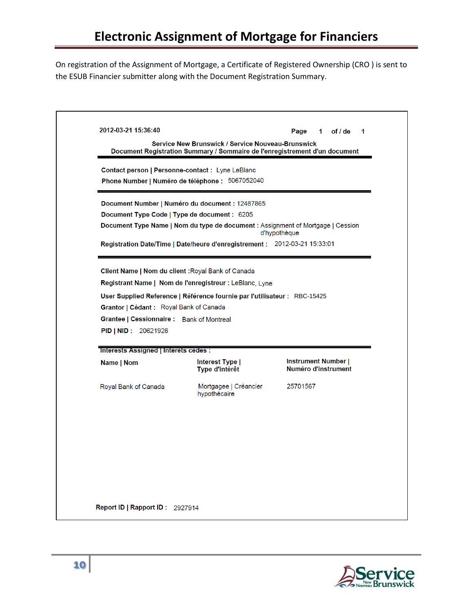On registration of the Assignment of Mortgage, a Certificate of Registered Ownership (CRO ) is sent to the ESUB Financier submitter along with the Document Registration Summary.

|                                                                                                     |                                                                                                                                        | Page<br>1 of $/$ de<br>1                          |
|-----------------------------------------------------------------------------------------------------|----------------------------------------------------------------------------------------------------------------------------------------|---------------------------------------------------|
|                                                                                                     | <b>Service New Brunswick / Service Nouveau-Brunswick</b><br>Document Registration Summary / Sommaire de l'enregistrement d'un document |                                                   |
| Contact person   Personne-contact : Lyne LeBlanc<br>Phone Number   Numéro de téléphone : 5067052040 |                                                                                                                                        |                                                   |
|                                                                                                     | Document Number   Numéro du document : 12487865                                                                                        |                                                   |
| Document Type Code   Type de document : 6205                                                        |                                                                                                                                        |                                                   |
|                                                                                                     | Document Type Name   Nom du type de document : Assignment of Mortgage   Cession                                                        | d'hypothèque                                      |
|                                                                                                     | Registration Date/Time   Date/heure d'enregistrement : 2012-03-21 15:33:01                                                             |                                                   |
| Grantor   Cédant : Royal Bank of Canada<br>Grantee   Cessionnaire : Bank of Montreal                | Registrant Name   Nom de l'enregistreur : LeBlanc, Lyne<br>User Supplied Reference   Référence fournie par l'utilisateur : RBC-15425   |                                                   |
| PID   NID: 20621926                                                                                 |                                                                                                                                        |                                                   |
| Name   Nom                                                                                          | Interest Type  <br>Type d'intérêt                                                                                                      | <b>Instrument Number  </b><br>Numéro d'instrument |
| <b>Interests Assigned   Interets cedes :</b><br>Royal Bank of Canada                                | Mortgagee   Créancier<br>hypothécaire                                                                                                  | 25701567                                          |